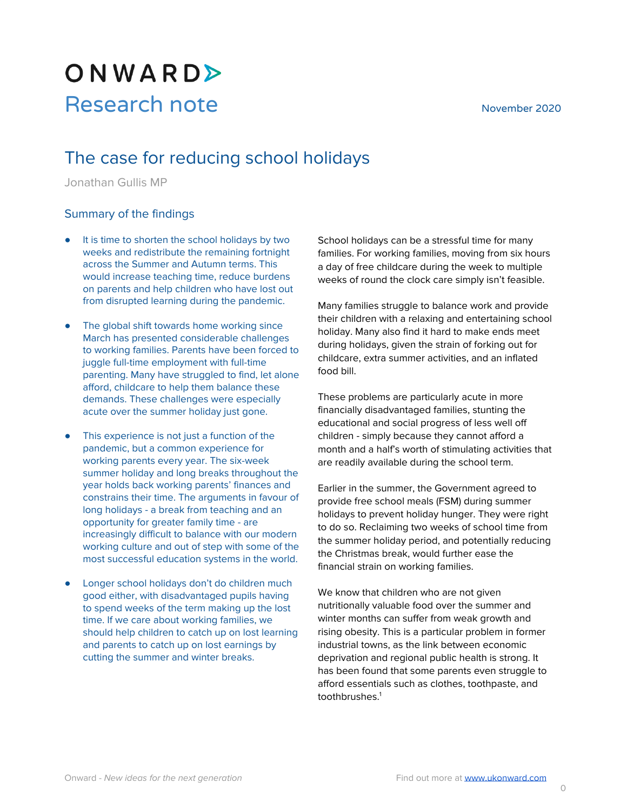# ONWARD> Research note November 2020

# The case for reducing school holidays

Jonathan Gullis MP

#### Summary of the findings

- It is time to shorten the school holidays by two weeks and redistribute the remaining fortnight across the Summer and Autumn terms. This would increase teaching time, reduce burdens on parents and help children who have lost out from disrupted learning during the pandemic.
- The global shift towards home working since March has presented considerable challenges to working families. Parents have been forced to juggle full-time employment with full-time parenting. Many have struggled to find, let alone afford, childcare to help them balance these demands. These challenges were especially acute over the summer holiday just gone.
- This experience is not just a function of the pandemic, but a common experience for working parents every year. The six-week summer holiday and long breaks throughout the year holds back working parents' finances and constrains their time. The arguments in favour of long holidays - a break from teaching and an opportunity for greater family time - are increasingly difficult to balance with our modern working culture and out of step with some of the most successful education systems in the world.
- Longer school holidays don't do children much good either, with disadvantaged pupils having to spend weeks of the term making up the lost time. If we care about working families, we should help children to catch up on lost learning and parents to catch up on lost earnings by cutting the summer and winter breaks.

School holidays can be a stressful time for many families. For working families, moving from six hours a day of free childcare during the week to multiple weeks of round the clock care simply isn't feasible.

Many families struggle to balance work and provide their children with a relaxing and entertaining school holiday. Many also find it hard to make ends meet during holidays, given the strain of forking out for childcare, extra summer activities, and an inflated food bill.

These problems are particularly acute in more financially disadvantaged families, stunting the educational and social progress of less well off children - simply because they cannot afford a month and a half's worth of stimulating activities that are readily available during the school term.

Earlier in the summer, the Government agreed to provide free school meals (FSM) during summer holidays to prevent holiday hunger. They were right to do so. Reclaiming two weeks of school time from the summer holiday period, and potentially reducing the Christmas break, would further ease the financial strain on working families.

We know that children who are not given nutritionally valuable food over the summer and winter months can suffer from weak growth and rising obesity. This is a particular problem in former industrial towns, as the link between economic deprivation and regional public health is strong. It has been found that some parents even struggle to afford essentials such as clothes, toothpaste, and toothbrushes. 1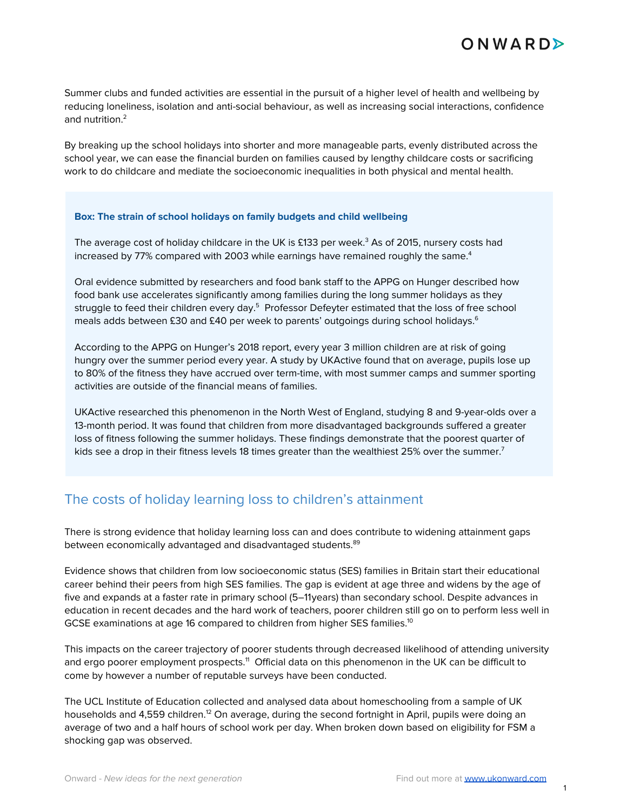Summer clubs and funded activities are essential in the pursuit of a higher level of health and wellbeing by reducing loneliness, isolation and anti-social behaviour, as well as increasing social interactions, confidence and nutrition. 2

By breaking up the school holidays into shorter and more manageable parts, evenly distributed across the school year, we can ease the financial burden on families caused by lengthy childcare costs or sacrificing work to do childcare and mediate the socioeconomic inequalities in both physical and mental health.

#### **Box: The strain of school holidays on family budgets and child wellbeing**

The average cost of holiday childcare in the UK is £133 per week. <sup>3</sup> As of 2015, nursery costs had increased by 77% compared with 2003 while earnings have remained roughly the same. $^4$ 

Oral evidence submitted by researchers and food bank staff to the APPG on Hunger described how food bank use accelerates significantly among families during the long summer holidays as they struggle to feed their children every day.<sup>5</sup> Professor Defeyter estimated that the loss of free school meals adds between £30 and £40 per week to parents' outgoings during school holidays. 6

According to the APPG on Hunger's 2018 report, every year 3 million children are at risk of going hungry over the summer period every year. A study by UKActive found that on average, pupils lose up to 80% of the fitness they have accrued over term-time, with most summer camps and summer sporting activities are outside of the financial means of families.

UKActive researched this phenomenon in the North West of England, studying 8 and 9-year-olds over a 13-month period. It was found that children from more disadvantaged backgrounds suffered a greater loss of fitness following the summer holidays. These findings demonstrate that the poorest quarter of kids see a drop in their fitness levels 18 times greater than the wealthiest 25% over the summer. $^7$ 

### The costs of holiday learning loss to children's attainment

There is strong evidence that holiday learning loss can and does contribute to widening attainment gaps between economically advantaged and disadvantaged students. 89

Evidence shows that children from low socioeconomic status (SES) families in Britain start their educational career behind their peers from high SES families. The gap is evident at age three and widens by the age of five and expands at a faster rate in primary school (5–11years) than secondary school. Despite advances in education in recent decades and the hard work of teachers, poorer children still go on to perform less well in GCSE examinations at age 16 compared to children from higher SES families. $^{10}$ 

This impacts on the career trajectory of poorer students through decreased likelihood of attending university and ergo poorer employment prospects. <sup>11</sup> Official data on this phenomenon in the UK can be difficult to come by however a number of reputable surveys have been conducted.

The UCL Institute of Education collected and analysed data about homeschooling from a sample of UK households and 4,559 children.<sup>12</sup> On average, during the second fortnight in April, pupils were doing an average of two and a half hours of school work per day. When broken down based on eligibility for FSM a shocking gap was observed.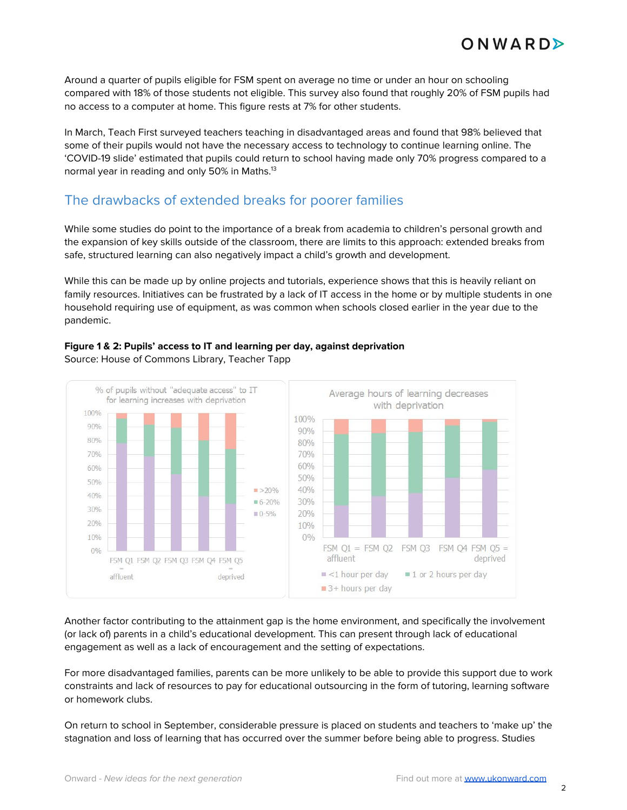Around a quarter of pupils eligible for FSM spent on average no time or under an hour on schooling compared with 18% of those students not eligible. This survey also found that roughly 20% of FSM pupils had no access to a computer at home. This figure rests at 7% for other students.

In March, Teach First surveyed teachers teaching in disadvantaged areas and found that 98% believed that some of their pupils would not have the necessary access to technology to continue learning online. The 'COVID-19 slide' estimated that pupils could return to school having made only 70% progress compared to a normal year in reading and only 50% in Maths. 13

## The drawbacks of extended breaks for poorer families

While some studies do point to the importance of a break from academia to children's personal growth and the expansion of key skills outside of the classroom, there are limits to this approach: extended breaks from safe, structured learning can also negatively impact a child's growth and development.

While this can be made up by online projects and tutorials, experience shows that this is heavily reliant on family resources. Initiatives can be frustrated by a lack of IT access in the home or by multiple students in one household requiring use of equipment, as was common when schools closed earlier in the year due to the pandemic.



#### **Figure 1 & 2: Pupils' access to IT and learning per day, against deprivation** Source: House of Commons Library, Teacher Tapp

Another factor contributing to the attainment gap is the home environment, and specifically the involvement (or lack of) parents in a child's educational development. This can present through lack of educational engagement as well as a lack of encouragement and the setting of expectations.

For more disadvantaged families, parents can be more unlikely to be able to provide this support due to work constraints and lack of resources to pay for educational outsourcing in the form of tutoring, learning software or homework clubs.

On return to school in September, considerable pressure is placed on students and teachers to 'make up' the stagnation and loss of learning that has occurred over the summer before being able to progress. Studies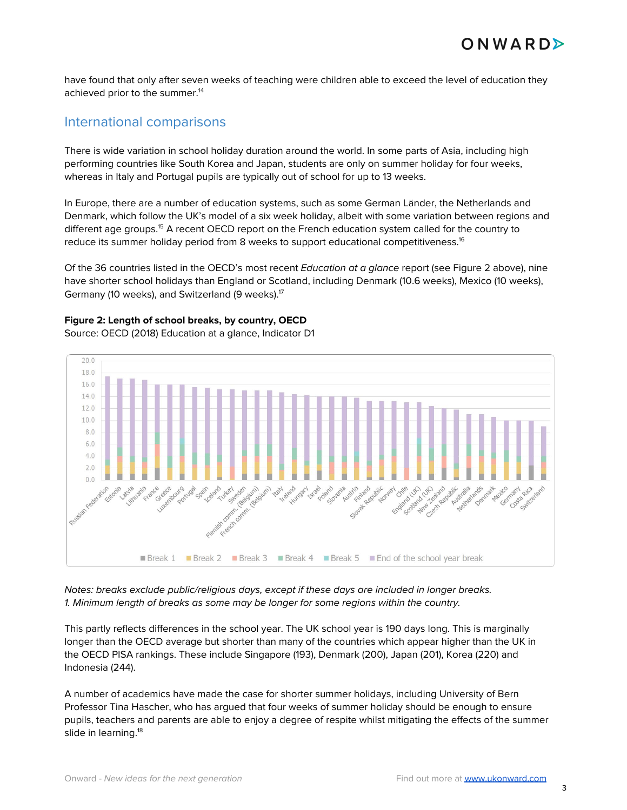have found that only after seven weeks of teaching were children able to exceed the level of education they achieved prior to the summer. 14

#### International comparisons

There is wide variation in school holiday duration around the world. In some parts of Asia, including high performing countries like South Korea and Japan, students are only on summer holiday for four weeks, whereas in Italy and Portugal pupils are typically out of school for up to 13 weeks.

In Europe, there are a number of education systems, such as some German Länder, the Netherlands and Denmark, which follow the UK's model of a six week holiday, albeit with some variation between regions and different age groups.<sup>15</sup> A recent OECD report on the French education system called for the country to reduce its summer holiday period from 8 weeks to support educational competitiveness. 16

Of the 36 countries listed in the OECD's most recent Education at a glance report (see Figure 2 above), nine have shorter school holidays than England or Scotland, including Denmark (10.6 weeks), Mexico (10 weeks), Germany (10 weeks), and Switzerland (9 weeks).<sup>17</sup>

#### **Figure 2: Length of school breaks, by country, OECD**

Source: OECD (2018) Education at a glance, Indicator D1



Notes: breaks exclude public/religious days, except if these days are included in longer breaks. 1. Minimum length of breaks as some may be longer for some regions within the country.

This partly reflects differences in the school year. The UK school year is 190 days long. This is marginally longer than the OECD average but shorter than many of the countries which appear higher than the UK in the OECD PISA rankings. These include Singapore (193), Denmark (200), Japan (201), Korea (220) and Indonesia (244).

A number of academics have made the case for shorter summer holidays, including University of Bern Professor Tina Hascher, who has argued that four weeks of summer holiday should be enough to ensure pupils, teachers and parents are able to enjoy a degree of respite whilst mitigating the effects of the summer slide in learning. 18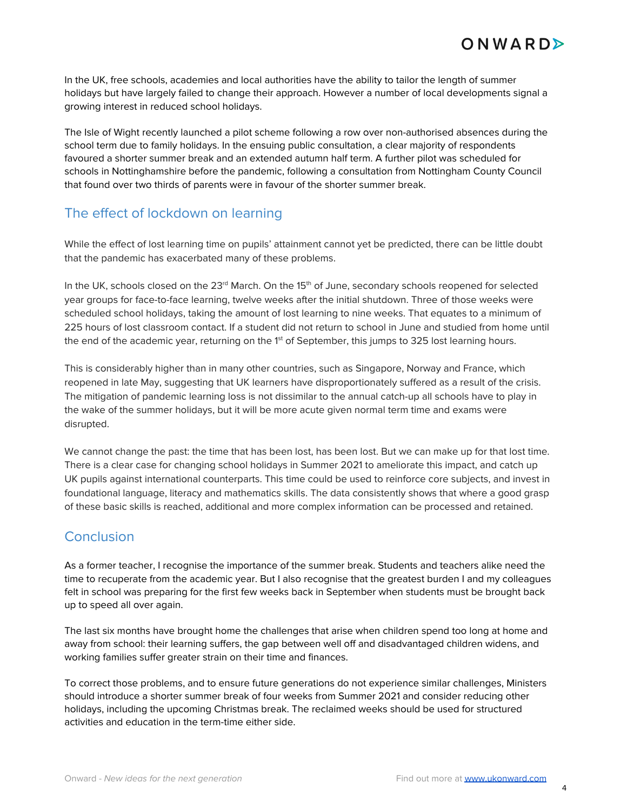In the UK, free schools, academies and local authorities have the ability to tailor the length of summer holidays but have largely failed to change their approach. However a number of local developments signal a growing interest in reduced school holidays.

The Isle of Wight recently launched a pilot scheme following a row over non-authorised absences during the school term due to family holidays. In the ensuing public consultation, a clear majority of respondents favoured a shorter summer break and an extended autumn half term. A further pilot was scheduled for schools in Nottinghamshire before the pandemic, following a consultation from Nottingham County Council that found over two thirds of parents were in favour of the shorter summer break.

# The effect of lockdown on learning

While the effect of lost learning time on pupils' attainment cannot yet be predicted, there can be little doubt that the pandemic has exacerbated many of these problems.

In the UK, schools closed on the 23<sup>rd</sup> March. On the 15<sup>th</sup> of June, secondary schools reopened for selected year groups for face-to-face learning, twelve weeks after the initial shutdown. Three of those weeks were scheduled school holidays, taking the amount of lost learning to nine weeks. That equates to a minimum of 225 hours of lost classroom contact. If a student did not return to school in June and studied from home until the end of the academic year, returning on the 1<sup>st</sup> of September, this jumps to 325 lost learning hours.

This is considerably higher than in many other countries, such as Singapore, Norway and France, which reopened in late May, suggesting that UK learners have disproportionately suffered as a result of the crisis. The mitigation of pandemic learning loss is not dissimilar to the annual catch-up all schools have to play in the wake of the summer holidays, but it will be more acute given normal term time and exams were disrupted.

We cannot change the past: the time that has been lost, has been lost. But we can make up for that lost time. There is a clear case for changing school holidays in Summer 2021 to ameliorate this impact, and catch up UK pupils against international counterparts. This time could be used to reinforce core subjects, and invest in foundational language, literacy and mathematics skills. The data consistently shows that where a good grasp of these basic skills is reached, additional and more complex information can be processed and retained.

# **Conclusion**

As a former teacher, I recognise the importance of the summer break. Students and teachers alike need the time to recuperate from the academic year. But I also recognise that the greatest burden I and my colleagues felt in school was preparing for the first few weeks back in September when students must be brought back up to speed all over again.

The last six months have brought home the challenges that arise when children spend too long at home and away from school: their learning suffers, the gap between well off and disadvantaged children widens, and working families suffer greater strain on their time and finances.

To correct those problems, and to ensure future generations do not experience similar challenges, Ministers should introduce a shorter summer break of four weeks from Summer 2021 and consider reducing other holidays, including the upcoming Christmas break. The reclaimed weeks should be used for structured activities and education in the term-time either side.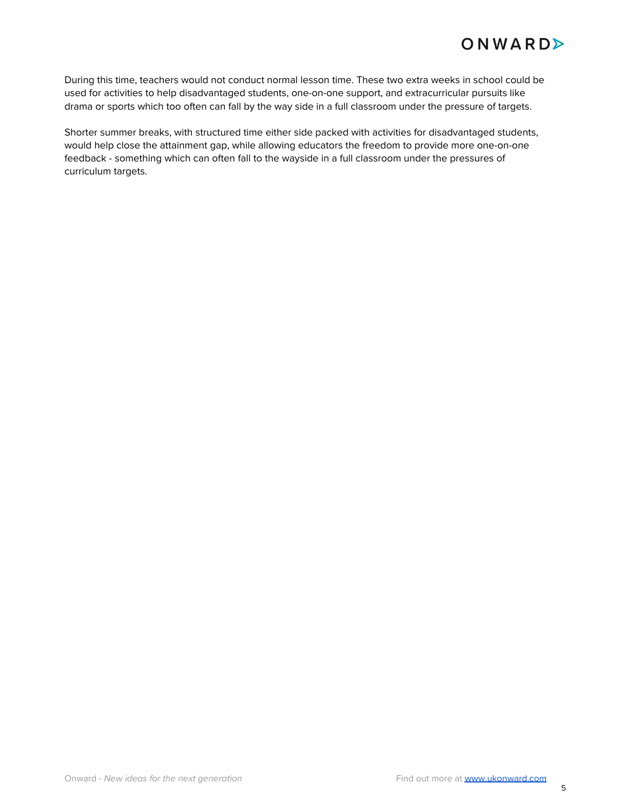During this time, teachers would not conduct normal lesson time. These two extra weeks in school could be used for activities to help disadvantaged students, one-on-one support, and extracurricular pursuits like drama or sports which too often can fall by the way side in a full classroom under the pressure of targets.

Shorter summer breaks, with structured time either side packed with activities for disadvantaged students, would help close the attainment gap, while allowing educators the freedom to provide more one-on-one feedback - something which can often fall to the wayside in a full classroom under the pressures of curriculum targets.